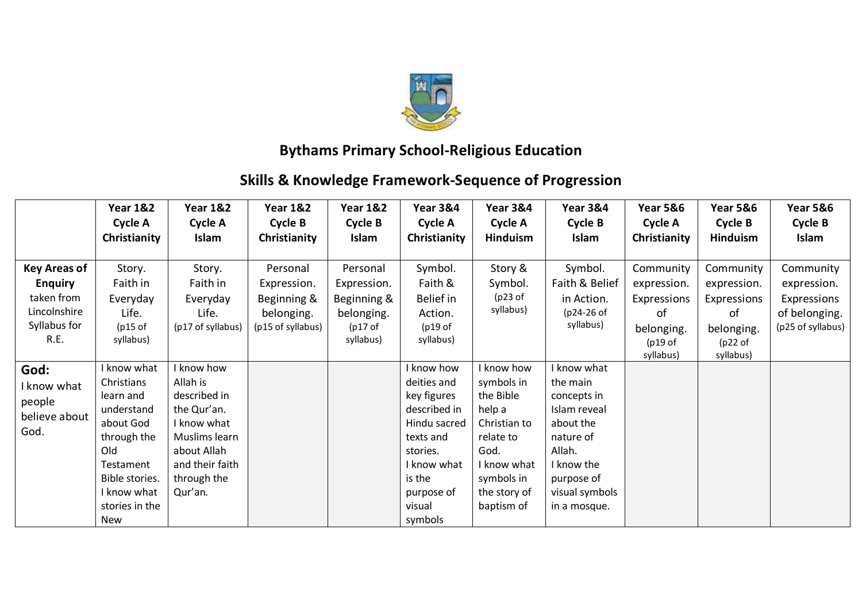

## **Bythams Primary School-Religious Education**

## **Skills & Knowledge Framework-Sequence of Progression**

|                                                                                             | <b>Year 1&amp;2</b><br>Cycle A<br>Christianity                                                                                                                 | <b>Year 1&amp;2</b><br>Cycle A<br>Islam                                                                                                           | <b>Year 1&amp;2</b><br>Cycle B<br>Christianity                            | <b>Year 1&amp;2</b><br>Cycle B<br>Islam                                      | <b>Year 3&amp;4</b><br>Cycle A<br>Christianity                                                                                                                | <b>Year 3&amp;4</b><br>Cycle A<br><b>Hinduism</b>                                                                                               | <b>Year 3&amp;4</b><br>Cycle B<br>Islam                                                                                                                | <b>Year 5&amp;6</b><br>Cycle A<br>Christianity                                      | <b>Year 5&amp;6</b><br>Cycle B<br>Hinduism                                          | <b>Year 5&amp;6</b><br>Cycle B<br>Islam                                       |
|---------------------------------------------------------------------------------------------|----------------------------------------------------------------------------------------------------------------------------------------------------------------|---------------------------------------------------------------------------------------------------------------------------------------------------|---------------------------------------------------------------------------|------------------------------------------------------------------------------|---------------------------------------------------------------------------------------------------------------------------------------------------------------|-------------------------------------------------------------------------------------------------------------------------------------------------|--------------------------------------------------------------------------------------------------------------------------------------------------------|-------------------------------------------------------------------------------------|-------------------------------------------------------------------------------------|-------------------------------------------------------------------------------|
| <b>Key Areas of</b><br><b>Enquiry</b><br>taken from<br>Lincolnshire<br>Syllabus for<br>R.E. | Story.<br>Faith in<br>Everyday<br>Life.<br>$(p15$ of<br>syllabus)                                                                                              | Story.<br>Faith in<br>Everyday<br>Life.<br>(p17 of syllabus)                                                                                      | Personal<br>Expression.<br>Beginning &<br>belonging.<br>(p15 of syllabus) | Personal<br>Expression.<br>Beginning &<br>belonging.<br>(p17 of<br>syllabus) | Symbol.<br>Faith &<br>Belief in<br>Action.<br>(p19 of<br>syllabus)                                                                                            | Story &<br>Symbol.<br>(p23 of<br>syllabus)                                                                                                      | Symbol.<br>Faith & Belief<br>in Action.<br>(p24-26 of<br>syllabus)                                                                                     | Community<br>expression.<br>Expressions<br>of<br>belonging.<br>(p19 of<br>syllabus) | Community<br>expression.<br>Expressions<br>of<br>belonging.<br>(p22 of<br>syllabus) | Community<br>expression.<br>Expressions<br>of belonging.<br>(p25 of syllabus) |
| God:<br>I know what<br>people<br>believe about<br>God.                                      | I know what<br>Christians<br>learn and<br>understand<br>about God<br>through the<br>Old<br>Testament<br>Bible stories.<br>I know what<br>stories in the<br>New | I know how<br>Allah is<br>described in<br>the Qur'an.<br>I know what<br>Muslims learn<br>about Allah<br>and their faith<br>through the<br>Qur'an. |                                                                           |                                                                              | I know how<br>deities and<br>key figures<br>described in<br>Hindu sacred<br>texts and<br>stories.<br>I know what<br>is the<br>purpose of<br>visual<br>symbols | I know how<br>symbols in<br>the Bible<br>help a<br>Christian to<br>relate to<br>God.<br>I know what<br>symbols in<br>the story of<br>baptism of | know what<br>the main<br>concepts in<br>Islam reveal<br>about the<br>nature of<br>Allah.<br>I know the<br>purpose of<br>visual symbols<br>in a mosque. |                                                                                     |                                                                                     |                                                                               |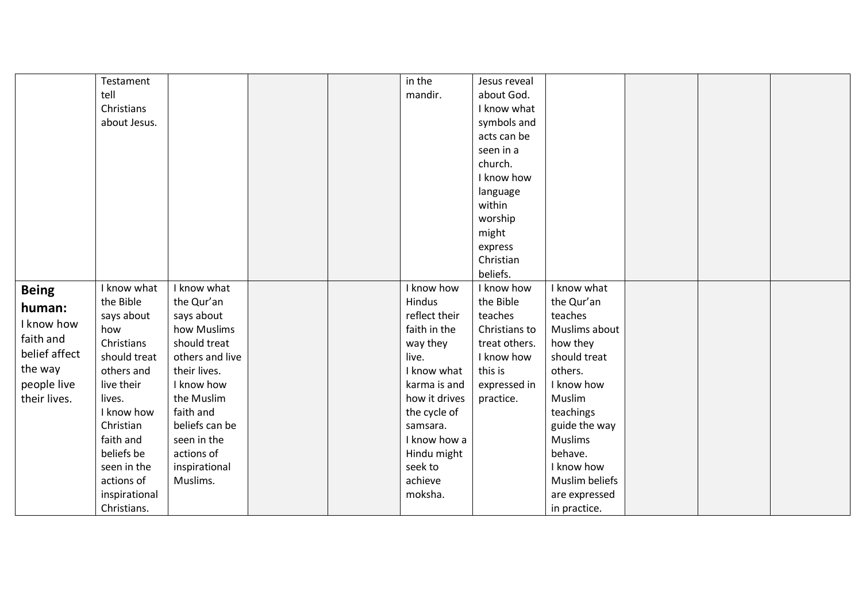|               | Testament     |                 |  | in the                        | Jesus reveal  |                       |  |  |
|---------------|---------------|-----------------|--|-------------------------------|---------------|-----------------------|--|--|
|               | tell          |                 |  | mandir.                       | about God.    |                       |  |  |
|               | Christians    |                 |  |                               | I know what   |                       |  |  |
|               | about Jesus.  |                 |  |                               | symbols and   |                       |  |  |
|               |               |                 |  |                               | acts can be   |                       |  |  |
|               |               |                 |  |                               | seen in a     |                       |  |  |
|               |               |                 |  |                               | church.       |                       |  |  |
|               |               |                 |  |                               | I know how    |                       |  |  |
|               |               |                 |  |                               | language      |                       |  |  |
|               |               |                 |  |                               | within        |                       |  |  |
|               |               |                 |  |                               | worship       |                       |  |  |
|               |               |                 |  |                               | might         |                       |  |  |
|               |               |                 |  |                               | express       |                       |  |  |
|               |               |                 |  |                               | Christian     |                       |  |  |
|               |               |                 |  |                               | beliefs.      |                       |  |  |
|               | I know what   | I know what     |  | I know how                    | I know how    | I know what           |  |  |
| <b>Being</b>  | the Bible     |                 |  | Hindus                        | the Bible     |                       |  |  |
| human:        |               | the Qur'an      |  |                               |               | the Qur'an<br>teaches |  |  |
| I know how    | says about    | says about      |  | reflect their<br>faith in the | teaches       |                       |  |  |
| faith and     | how           | how Muslims     |  |                               | Christians to | Muslims about         |  |  |
| belief affect | Christians    | should treat    |  | way they                      | treat others. | how they              |  |  |
|               | should treat  | others and live |  | live.                         | I know how    | should treat          |  |  |
| the way       | others and    | their lives.    |  | I know what                   | this is       | others.               |  |  |
| people live   | live their    | I know how      |  | karma is and                  | expressed in  | I know how            |  |  |
| their lives.  | lives.        | the Muslim      |  | how it drives                 | practice.     | Muslim                |  |  |
|               | I know how    | faith and       |  | the cycle of                  |               | teachings             |  |  |
|               | Christian     | beliefs can be  |  | samsara.                      |               | guide the way         |  |  |
|               | faith and     | seen in the     |  | I know how a                  |               | <b>Muslims</b>        |  |  |
|               | beliefs be    | actions of      |  | Hindu might                   |               | behave.               |  |  |
|               | seen in the   | inspirational   |  | seek to                       |               | I know how            |  |  |
|               | actions of    | Muslims.        |  | achieve                       |               | Muslim beliefs        |  |  |
|               | inspirational |                 |  | moksha.                       |               | are expressed         |  |  |
|               | Christians.   |                 |  |                               |               | in practice.          |  |  |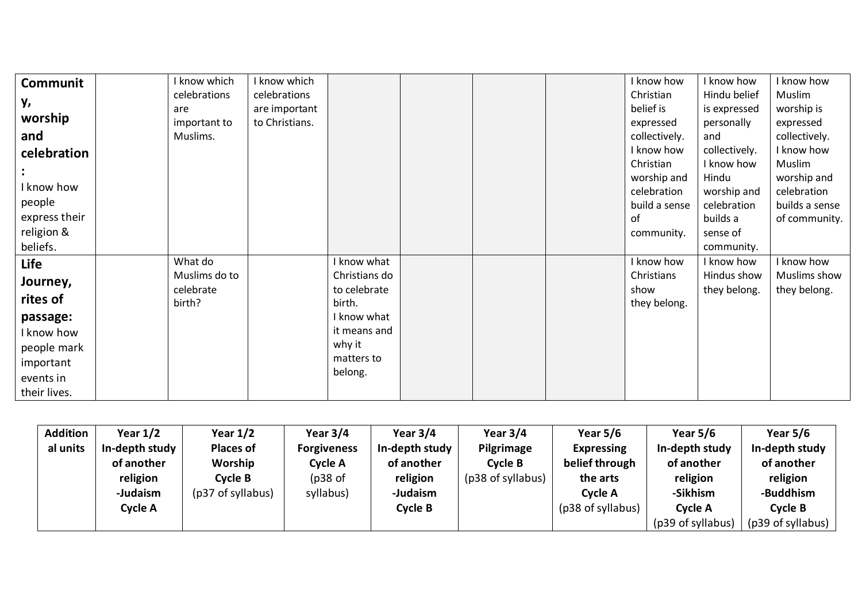| I know which | I know which                         |             |                                                                                                           |  | I know how    | I know how                                                                                                         | I know how                                                                       |
|--------------|--------------------------------------|-------------|-----------------------------------------------------------------------------------------------------------|--|---------------|--------------------------------------------------------------------------------------------------------------------|----------------------------------------------------------------------------------|
| celebrations | celebrations                         |             |                                                                                                           |  | Christian     | Hindu belief                                                                                                       | Muslim                                                                           |
| are          | are important                        |             |                                                                                                           |  | belief is     | is expressed                                                                                                       | worship is                                                                       |
| important to | to Christians.                       |             |                                                                                                           |  | expressed     | personally                                                                                                         | expressed                                                                        |
| Muslims.     |                                      |             |                                                                                                           |  | collectively. | and                                                                                                                | collectively.                                                                    |
|              |                                      |             |                                                                                                           |  | I know how    | collectively.                                                                                                      | I know how                                                                       |
|              |                                      |             |                                                                                                           |  |               | I know how                                                                                                         | Muslim                                                                           |
|              |                                      |             |                                                                                                           |  |               | Hindu                                                                                                              | worship and                                                                      |
|              |                                      |             |                                                                                                           |  |               |                                                                                                                    | celebration                                                                      |
|              |                                      |             |                                                                                                           |  |               |                                                                                                                    | builds a sense                                                                   |
|              |                                      |             |                                                                                                           |  |               |                                                                                                                    | of community.                                                                    |
|              |                                      |             |                                                                                                           |  |               |                                                                                                                    |                                                                                  |
|              |                                      |             |                                                                                                           |  |               |                                                                                                                    |                                                                                  |
| What do      |                                      | I know what |                                                                                                           |  | I know how    | I know how                                                                                                         | I know how                                                                       |
|              |                                      |             |                                                                                                           |  |               | Hindus show                                                                                                        | Muslims show                                                                     |
|              |                                      |             |                                                                                                           |  |               |                                                                                                                    | they belong.                                                                     |
|              |                                      |             |                                                                                                           |  |               |                                                                                                                    |                                                                                  |
|              |                                      |             |                                                                                                           |  |               |                                                                                                                    |                                                                                  |
|              |                                      |             |                                                                                                           |  |               |                                                                                                                    |                                                                                  |
|              |                                      |             |                                                                                                           |  |               |                                                                                                                    |                                                                                  |
|              |                                      |             |                                                                                                           |  |               |                                                                                                                    |                                                                                  |
|              |                                      |             |                                                                                                           |  |               |                                                                                                                    |                                                                                  |
|              |                                      |             |                                                                                                           |  |               |                                                                                                                    |                                                                                  |
|              | Muslims do to<br>celebrate<br>birth? |             | Christians do<br>to celebrate<br>birth.<br>I know what<br>it means and<br>why it<br>matters to<br>belong. |  |               | Christian<br>worship and<br>celebration<br>build a sense<br>of<br>community.<br>Christians<br>show<br>they belong. | worship and<br>celebration<br>builds a<br>sense of<br>community.<br>they belong. |

| <b>Addition</b> | Year $1/2$     | Year $1/2$        | Year $3/4$         | Year $3/4$     | Year $3/4$        | Year $5/6$        | Year $5/6$        | Year $5/6$        |
|-----------------|----------------|-------------------|--------------------|----------------|-------------------|-------------------|-------------------|-------------------|
| al units        | In-depth study | <b>Places of</b>  | <b>Forgiveness</b> | In-depth study | Pilgrimage        | <b>Expressing</b> | In-depth study    | In-depth study    |
|                 | of another     | Worship           | Cycle A            | of another     | Cycle B           | belief through    | of another        | of another        |
|                 | religion       | Cycle B           | $(p38$ of          | religion       | (p38 of syllabus) | the arts          | religion          | religion          |
|                 | -Judaism       | (p37 of syllabus) | syllabus)          | -Judaism       |                   | <b>Cycle A</b>    | -Sikhism          | -Buddhism         |
|                 | Cycle A        |                   |                    | Cycle B        |                   | (p38 of syllabus) | Cycle A           | Cycle B           |
|                 |                |                   |                    |                |                   |                   | (p39 of syllabus) | (p39 of syllabus) |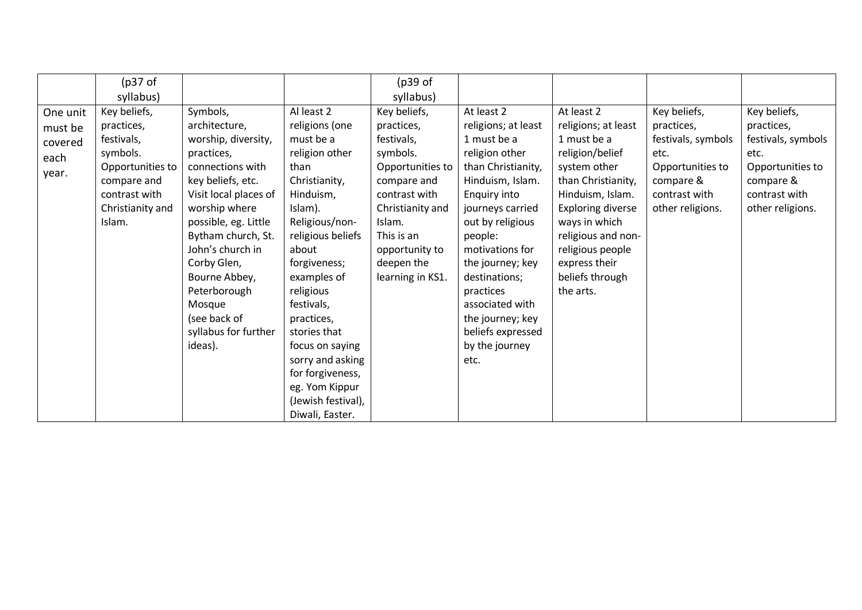|                                        | (p37 of                                                                  |                                                                                                                                                                                                                                            |                                                                                                                                                                                                                                                                                                     | (p39 of                                                                                                                      |                                                                                                                                                                                                                                                |                                                                                                                                                                                |                                                                              |                                                                              |
|----------------------------------------|--------------------------------------------------------------------------|--------------------------------------------------------------------------------------------------------------------------------------------------------------------------------------------------------------------------------------------|-----------------------------------------------------------------------------------------------------------------------------------------------------------------------------------------------------------------------------------------------------------------------------------------------------|------------------------------------------------------------------------------------------------------------------------------|------------------------------------------------------------------------------------------------------------------------------------------------------------------------------------------------------------------------------------------------|--------------------------------------------------------------------------------------------------------------------------------------------------------------------------------|------------------------------------------------------------------------------|------------------------------------------------------------------------------|
|                                        | syllabus)                                                                |                                                                                                                                                                                                                                            |                                                                                                                                                                                                                                                                                                     | syllabus)                                                                                                                    |                                                                                                                                                                                                                                                |                                                                                                                                                                                |                                                                              |                                                                              |
| One unit<br>must be<br>covered<br>each | Key beliefs,<br>practices,<br>festivals,<br>symbols.<br>Opportunities to | Symbols,<br>architecture,<br>worship, diversity,<br>practices,<br>connections with                                                                                                                                                         | Al least 2<br>religions (one<br>must be a<br>religion other<br>than                                                                                                                                                                                                                                 | Key beliefs,<br>practices,<br>festivals,<br>symbols.<br>Opportunities to                                                     | At least 2<br>religions; at least<br>1 must be a<br>religion other<br>than Christianity,                                                                                                                                                       | At least 2<br>religions; at least<br>1 must be a<br>religion/belief<br>system other                                                                                            | Key beliefs,<br>practices,<br>festivals, symbols<br>etc.<br>Opportunities to | Key beliefs,<br>practices,<br>festivals, symbols<br>etc.<br>Opportunities to |
| year.                                  | compare and<br>contrast with<br>Christianity and<br>Islam.               | key beliefs, etc.<br>Visit local places of<br>worship where<br>possible, eg. Little<br>Bytham church, St.<br>John's church in<br>Corby Glen,<br>Bourne Abbey,<br>Peterborough<br>Mosque<br>(see back of<br>syllabus for further<br>ideas). | Christianity,<br>Hinduism,<br>Islam).<br>Religious/non-<br>religious beliefs<br>about<br>forgiveness;<br>examples of<br>religious<br>festivals,<br>practices,<br>stories that<br>focus on saying<br>sorry and asking<br>for forgiveness,<br>eg. Yom Kippur<br>(Jewish festival),<br>Diwali, Easter. | compare and<br>contrast with<br>Christianity and<br>Islam.<br>This is an<br>opportunity to<br>deepen the<br>learning in KS1. | Hinduism, Islam.<br>Enquiry into<br>journeys carried<br>out by religious<br>people:<br>motivations for<br>the journey; key<br>destinations;<br>practices<br>associated with<br>the journey; key<br>beliefs expressed<br>by the journey<br>etc. | than Christianity,<br>Hinduism, Islam.<br><b>Exploring diverse</b><br>ways in which<br>religious and non-<br>religious people<br>express their<br>beliefs through<br>the arts. | compare &<br>contrast with<br>other religions.                               | compare &<br>contrast with<br>other religions.                               |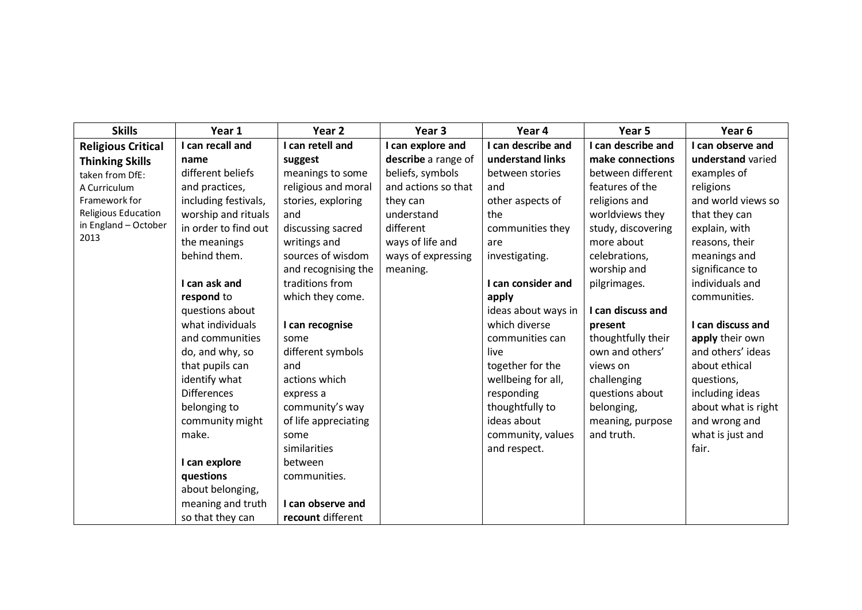| <b>Skills</b>             | Year 1               | Year <sub>2</sub>    | Year 3              | Year 4              | Year <sub>5</sub>  | Year <sub>6</sub>   |
|---------------------------|----------------------|----------------------|---------------------|---------------------|--------------------|---------------------|
| <b>Religious Critical</b> | I can recall and     | I can retell and     | I can explore and   | I can describe and  | I can describe and | I can observe and   |
| <b>Thinking Skills</b>    | name                 | suggest              | describe a range of | understand links    | make connections   | understand varied   |
| taken from DfE:           | different beliefs    | meanings to some     | beliefs, symbols    | between stories     | between different  | examples of         |
| A Curriculum              | and practices,       | religious and moral  | and actions so that | and                 | features of the    | religions           |
| Framework for             | including festivals, | stories, exploring   | they can            | other aspects of    | religions and      | and world views so  |
| Religious Education       | worship and rituals  | and                  | understand          | the                 | worldviews they    | that they can       |
| in England - October      | in order to find out | discussing sacred    | different           | communities they    | study, discovering | explain, with       |
| 2013                      | the meanings         | writings and         | ways of life and    | are                 | more about         | reasons, their      |
|                           | behind them.         | sources of wisdom    | ways of expressing  | investigating.      | celebrations,      | meanings and        |
|                           |                      | and recognising the  | meaning.            |                     | worship and        | significance to     |
|                           | I can ask and        | traditions from      |                     | I can consider and  | pilgrimages.       | individuals and     |
|                           | respond to           | which they come.     |                     | apply               |                    | communities.        |
|                           | questions about      |                      |                     | ideas about ways in | I can discuss and  |                     |
|                           | what individuals     | I can recognise      |                     | which diverse       | present            | I can discuss and   |
|                           | and communities      | some                 |                     | communities can     | thoughtfully their | apply their own     |
|                           | do, and why, so      | different symbols    |                     | live                | own and others'    | and others' ideas   |
|                           | that pupils can      | and                  |                     | together for the    | views on           | about ethical       |
|                           | identify what        | actions which        |                     | wellbeing for all,  | challenging        | questions,          |
|                           | <b>Differences</b>   | express a            |                     | responding          | questions about    | including ideas     |
|                           | belonging to         | community's way      |                     | thoughtfully to     | belonging,         | about what is right |
|                           | community might      | of life appreciating |                     | ideas about         | meaning, purpose   | and wrong and       |
|                           | make.                | some                 |                     | community, values   | and truth.         | what is just and    |
|                           |                      | similarities         |                     | and respect.        |                    | fair.               |
|                           | I can explore        | between              |                     |                     |                    |                     |
|                           | questions            | communities.         |                     |                     |                    |                     |
|                           | about belonging,     |                      |                     |                     |                    |                     |
|                           | meaning and truth    | I can observe and    |                     |                     |                    |                     |
|                           | so that they can     | recount different    |                     |                     |                    |                     |